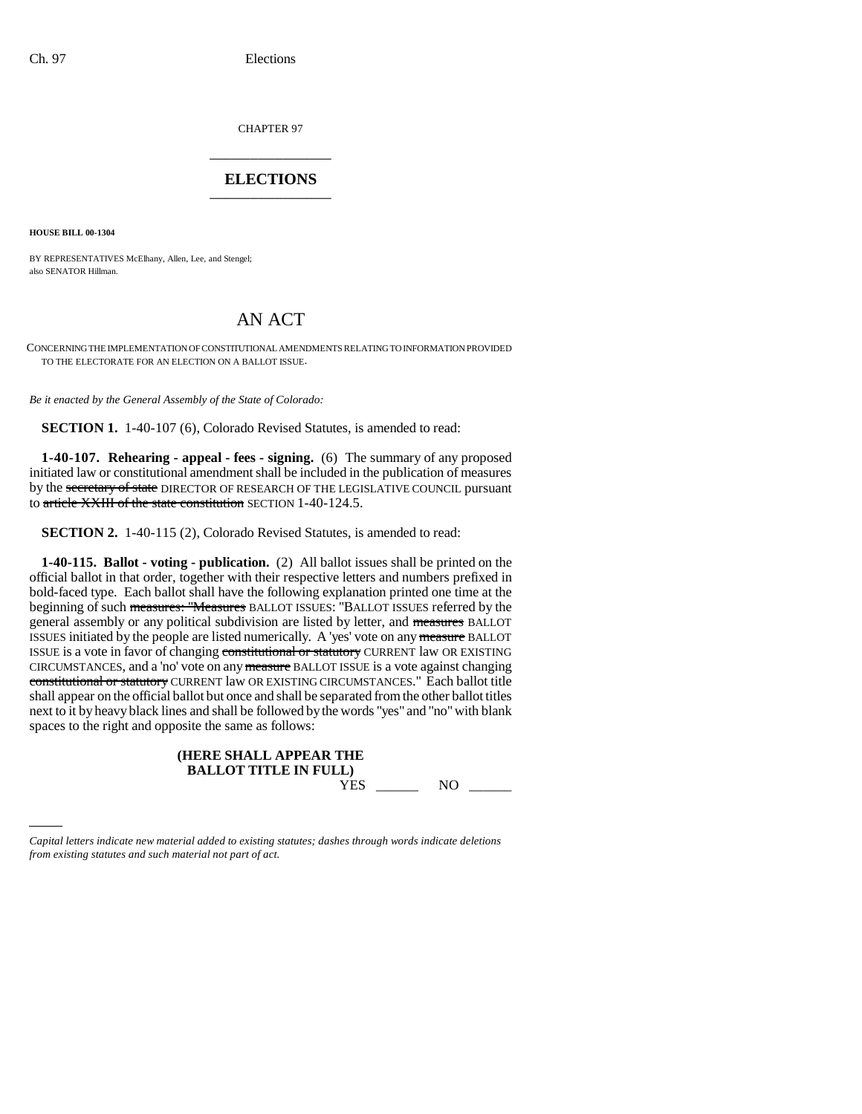CHAPTER 97 \_\_\_\_\_\_\_\_\_\_\_\_\_\_\_

# **ELECTIONS** \_\_\_\_\_\_\_\_\_\_\_\_\_\_\_

**HOUSE BILL 00-1304** 

BY REPRESENTATIVES McElhany, Allen, Lee, and Stengel; also SENATOR Hillman.

# AN ACT

CONCERNING THE IMPLEMENTATION OF CONSTITUTIONAL AMENDMENTS RELATING TO INFORMATION PROVIDED TO THE ELECTORATE FOR AN ELECTION ON A BALLOT ISSUE.

*Be it enacted by the General Assembly of the State of Colorado:*

**SECTION 1.** 1-40-107 (6), Colorado Revised Statutes, is amended to read:

**1-40-107. Rehearing - appeal - fees - signing.** (6) The summary of any proposed initiated law or constitutional amendment shall be included in the publication of measures by the secretary of state DIRECTOR OF RESEARCH OF THE LEGISLATIVE COUNCIL pursuant to article XXIII of the state constitution SECTION 1-40-124.5.

**SECTION 2.** 1-40-115 (2), Colorado Revised Statutes, is amended to read:

**1-40-115. Ballot - voting - publication.** (2) All ballot issues shall be printed on the official ballot in that order, together with their respective letters and numbers prefixed in bold-faced type. Each ballot shall have the following explanation printed one time at the beginning of such measures: "Measures BALLOT ISSUES: "BALLOT ISSUES referred by the general assembly or any political subdivision are listed by letter, and measures BALLOT ISSUES initiated by the people are listed numerically. A 'yes' vote on any measure BALLOT ISSUE is a vote in favor of changing constitutional or statutory CURRENT law OR EXISTING CIRCUMSTANCES, and a 'no' vote on any measure BALLOT ISSUE is a vote against changing constitutional or statutory CURRENT law OR EXISTING CIRCUMSTANCES." Each ballot title shall appear on the official ballot but once and shall be separated from the other ballot titles next to it by heavy black lines and shall be followed by the words "yes" and "no" with blank spaces to the right and opposite the same as follows:

| (HERE SHALL APPEAR THE       |
|------------------------------|
| <b>BALLOT TITLE IN FULL)</b> |
| <b>TITC</b>                  |

YES \_\_\_\_\_\_\_\_ NO \_\_\_\_\_\_

*Capital letters indicate new material added to existing statutes; dashes through words indicate deletions from existing statutes and such material not part of act.*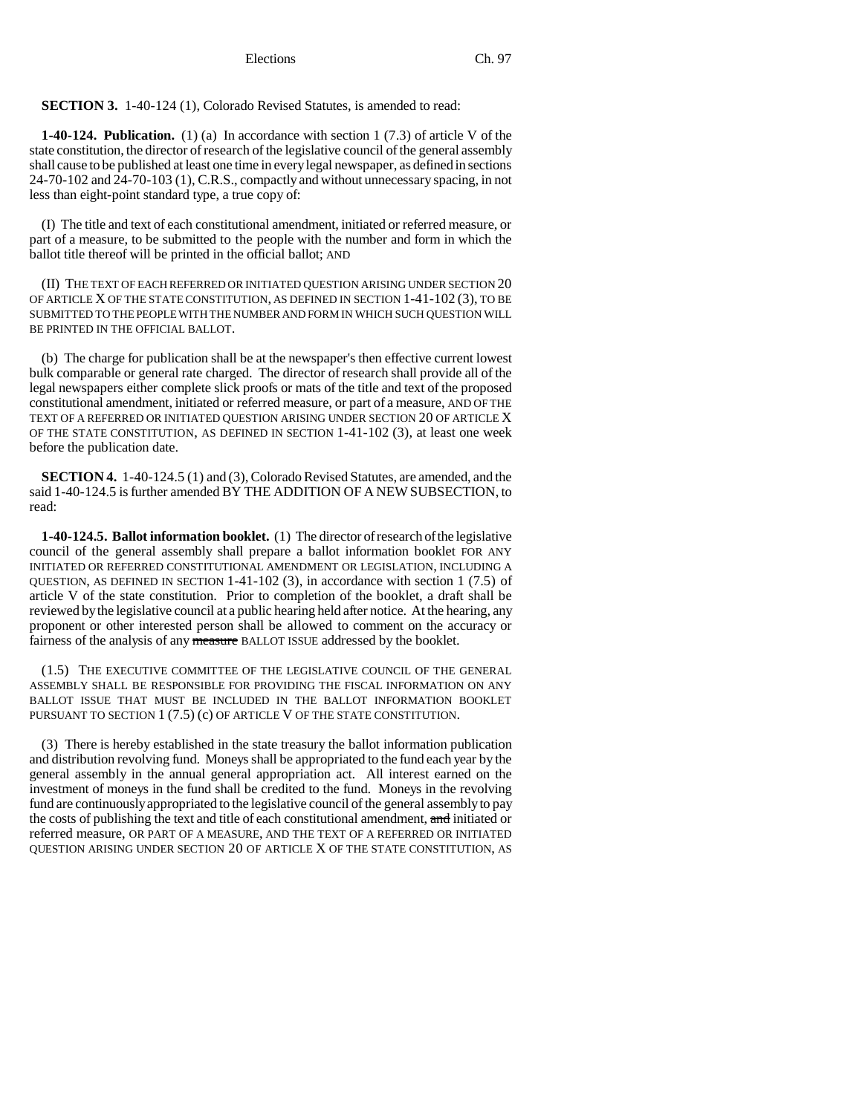Elections Ch. 97

**SECTION 3.** 1-40-124 (1), Colorado Revised Statutes, is amended to read:

**1-40-124. Publication.** (1) (a) In accordance with section 1 (7.3) of article V of the state constitution, the director of research of the legislative council of the general assembly shall cause to be published at least one time in every legal newspaper, as defined in sections 24-70-102 and 24-70-103 (1), C.R.S., compactly and without unnecessary spacing, in not less than eight-point standard type, a true copy of:

(I) The title and text of each constitutional amendment, initiated or referred measure, or part of a measure, to be submitted to the people with the number and form in which the ballot title thereof will be printed in the official ballot; AND

(II) THE TEXT OF EACH REFERRED OR INITIATED QUESTION ARISING UNDER SECTION 20 OF ARTICLE X OF THE STATE CONSTITUTION, AS DEFINED IN SECTION 1-41-102 (3), TO BE SUBMITTED TO THE PEOPLE WITH THE NUMBER AND FORM IN WHICH SUCH QUESTION WILL BE PRINTED IN THE OFFICIAL BALLOT.

(b) The charge for publication shall be at the newspaper's then effective current lowest bulk comparable or general rate charged. The director of research shall provide all of the legal newspapers either complete slick proofs or mats of the title and text of the proposed constitutional amendment, initiated or referred measure, or part of a measure, AND OF THE TEXT OF A REFERRED OR INITIATED QUESTION ARISING UNDER SECTION 20 OF ARTICLE X OF THE STATE CONSTITUTION, AS DEFINED IN SECTION 1-41-102 (3), at least one week before the publication date.

**SECTION 4.** 1-40-124.5 (1) and (3), Colorado Revised Statutes, are amended, and the said 1-40-124.5 is further amended BY THE ADDITION OF A NEW SUBSECTION, to read:

**1-40-124.5. Ballot information booklet.** (1) The director of research of the legislative council of the general assembly shall prepare a ballot information booklet FOR ANY INITIATED OR REFERRED CONSTITUTIONAL AMENDMENT OR LEGISLATION, INCLUDING A QUESTION, AS DEFINED IN SECTION 1-41-102 (3), in accordance with section 1 (7.5) of article V of the state constitution. Prior to completion of the booklet, a draft shall be reviewed by the legislative council at a public hearing held after notice. At the hearing, any proponent or other interested person shall be allowed to comment on the accuracy or fairness of the analysis of any measure BALLOT ISSUE addressed by the booklet.

(1.5) THE EXECUTIVE COMMITTEE OF THE LEGISLATIVE COUNCIL OF THE GENERAL ASSEMBLY SHALL BE RESPONSIBLE FOR PROVIDING THE FISCAL INFORMATION ON ANY BALLOT ISSUE THAT MUST BE INCLUDED IN THE BALLOT INFORMATION BOOKLET PURSUANT TO SECTION 1 (7.5) (c) OF ARTICLE V OF THE STATE CONSTITUTION.

(3) There is hereby established in the state treasury the ballot information publication and distribution revolving fund. Moneys shall be appropriated to the fund each year by the general assembly in the annual general appropriation act. All interest earned on the investment of moneys in the fund shall be credited to the fund. Moneys in the revolving fund are continuously appropriated to the legislative council of the general assembly to pay the costs of publishing the text and title of each constitutional amendment, and initiated or referred measure, OR PART OF A MEASURE, AND THE TEXT OF A REFERRED OR INITIATED QUESTION ARISING UNDER SECTION 20 OF ARTICLE X OF THE STATE CONSTITUTION, AS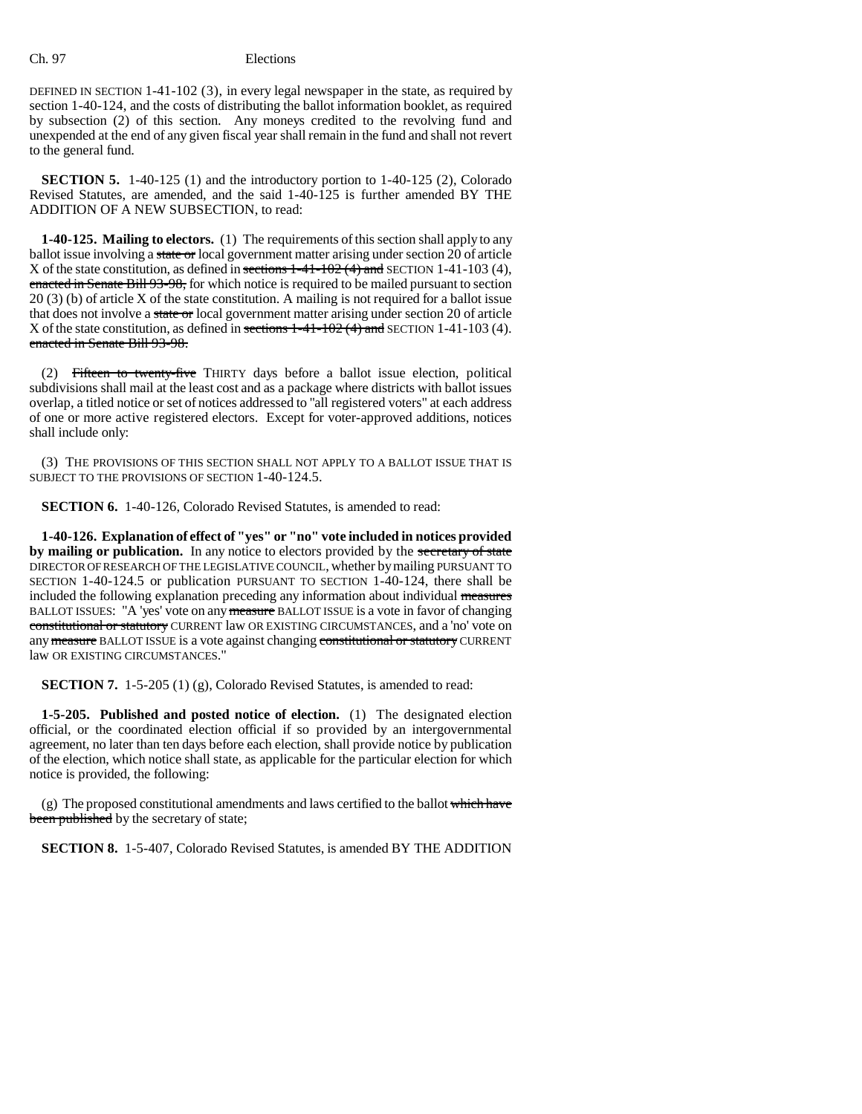### Ch. 97 Elections

DEFINED IN SECTION 1-41-102 (3), in every legal newspaper in the state, as required by section 1-40-124, and the costs of distributing the ballot information booklet, as required by subsection (2) of this section. Any moneys credited to the revolving fund and unexpended at the end of any given fiscal year shall remain in the fund and shall not revert to the general fund.

**SECTION 5.** 1-40-125 (1) and the introductory portion to 1-40-125 (2), Colorado Revised Statutes, are amended, and the said 1-40-125 is further amended BY THE ADDITION OF A NEW SUBSECTION, to read:

**1-40-125. Mailing to electors.** (1) The requirements of this section shall apply to any ballot issue involving a state or local government matter arising under section 20 of article X of the state constitution, as defined in sections 1-41-102 (4) and SECTION 1-41-103 (4), enacted in Senate Bill 93-98, for which notice is required to be mailed pursuant to section 20 (3) (b) of article X of the state constitution. A mailing is not required for a ballot issue that does not involve a state or local government matter arising under section 20 of article X of the state constitution, as defined in sections  $1-41-102(4)$  and SECTION 1-41-103 (4). enacted in Senate Bill 93-98.

(2) Fifteen to twenty-five THIRTY days before a ballot issue election, political subdivisions shall mail at the least cost and as a package where districts with ballot issues overlap, a titled notice or set of notices addressed to "all registered voters" at each address of one or more active registered electors. Except for voter-approved additions, notices shall include only:

(3) THE PROVISIONS OF THIS SECTION SHALL NOT APPLY TO A BALLOT ISSUE THAT IS SUBJECT TO THE PROVISIONS OF SECTION 1-40-124.5.

**SECTION 6.** 1-40-126, Colorado Revised Statutes, is amended to read:

**1-40-126. Explanation of effect of "yes" or "no" vote included in notices provided** by mailing or publication. In any notice to electors provided by the secretary of state DIRECTOR OF RESEARCH OF THE LEGISLATIVE COUNCIL, whether by mailing PURSUANT TO SECTION 1-40-124.5 or publication PURSUANT TO SECTION 1-40-124, there shall be included the following explanation preceding any information about individual measures BALLOT ISSUES: "A 'yes' vote on any measure BALLOT ISSUE is a vote in favor of changing constitutional or statutory CURRENT law OR EXISTING CIRCUMSTANCES, and a 'no' vote on any measure BALLOT ISSUE is a vote against changing constitutional or statutory CURRENT law OR EXISTING CIRCUMSTANCES."

**SECTION 7.** 1-5-205 (1) (g), Colorado Revised Statutes, is amended to read:

**1-5-205. Published and posted notice of election.** (1) The designated election official, or the coordinated election official if so provided by an intergovernmental agreement, no later than ten days before each election, shall provide notice by publication of the election, which notice shall state, as applicable for the particular election for which notice is provided, the following:

(g) The proposed constitutional amendments and laws certified to the ballot which have been published by the secretary of state;

**SECTION 8.** 1-5-407, Colorado Revised Statutes, is amended BY THE ADDITION